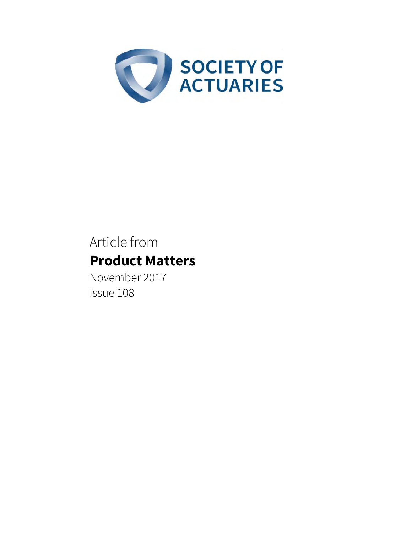

# Article from **Product Matters**

November 2017 Issue 108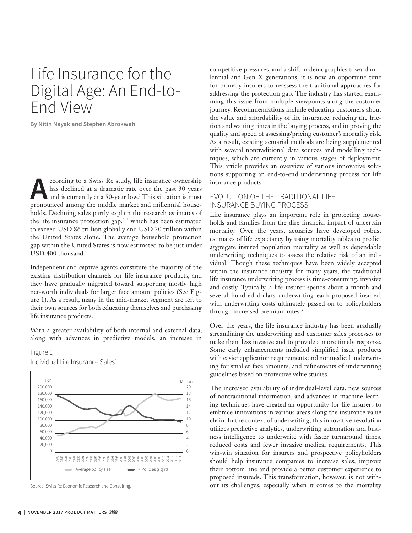## Life Insurance for the Digital Age: An End-to-End View

**By Nitin Nayak and Stephen Abrokwah**

**According to a Swiss Re study, life insurance ownership**<br>has declined at a dramatic rate over the past 30 years<br>and is currently at a 50-year low.<sup>1</sup> This situation is most<br>propounced among the middle market and millennia has declined at a dramatic rate over the past 30 years and is currently at a 50-year low.<sup>1</sup> This situation is most pronounced among the middle market and millennial households. Declining sales partly explain the research estimates of the life insurance protection gap,<sup>2,3</sup> which has been estimated to exceed USD 86 trillion globally and USD 20 trillion within the United States alone. The average household protection gap within the United States is now estimated to be just under USD 400 thousand.

Independent and captive agents constitute the majority of the existing distribution channels for life insurance products, and they have gradually migrated toward supporting mostly high net-worth individuals for larger face amount policies (See Figure 1). As a result, many in the mid-market segment are left to their own sources for both educating themselves and purchasing life insurance products.

With a greater availability of both internal and external data, along with advances in predictive models, an increase in

Figure 1 Individual Life Insurance Sales<sup>4</sup>



Source: Swiss Re Economic Research and Consulting.

competitive pressures, and a shift in demographics toward millennial and Gen X generations, it is now an opportune time for primary insurers to reassess the traditional approaches for addressing the protection gap. The industry has started examining this issue from multiple viewpoints along the customer journey. Recommendations include educating customers about the value and affordability of life insurance, reducing the friction and waiting times in the buying process, and improving the quality and speed of assessing/pricing customer's mortality risk. As a result, existing actuarial methods are being supplemented with several nontraditional data sources and modelling techniques, which are currently in various stages of deployment. This article provides an overview of various innovative solutions supporting an end-to-end underwriting process for life insurance products.

### EVOLUTION OF THE TRADITIONAL LIFE INSURANCE BUYING PROCESS

Life insurance plays an important role in protecting households and families from the dire financial impact of uncertain mortality. Over the years, actuaries have developed robust estimates of life expectancy by using mortality tables to predict aggregate insured population mortality as well as dependable underwriting techniques to assess the relative risk of an individual. Though these techniques have been widely accepted within the insurance industry for many years, the traditional life insurance underwriting process is time-consuming, invasive and costly. Typically, a life insurer spends about a month and several hundred dollars underwriting each proposed insured, with underwriting costs ultimately passed on to policyholders through increased premium rates.<sup>3</sup>

Over the years, the life insurance industry has been gradually streamlining the underwriting and customer sales processes to make them less invasive and to provide a more timely response. Some early enhancements included simplified issue products with easier application requirements and nonmedical underwriting for smaller face amounts, and refinements of underwriting guidelines based on protective value studies.

The increased availability of individual-level data, new sources of nontraditional information, and advances in machine learning techniques have created an opportunity for life insurers to embrace innovations in various areas along the insurance value chain. In the context of underwriting, this innovative revolution utilizes predictive analytics, underwriting automation and business intelligence to underwrite with faster turnaround times, reduced costs and fewer invasive medical requirements. This win-win situation for insurers and prospective policyholders should help insurance companies to increase sales, improve their bottom line and provide a better customer experience to proposed insureds. This transformation, however, is not without its challenges, especially when it comes to the mortality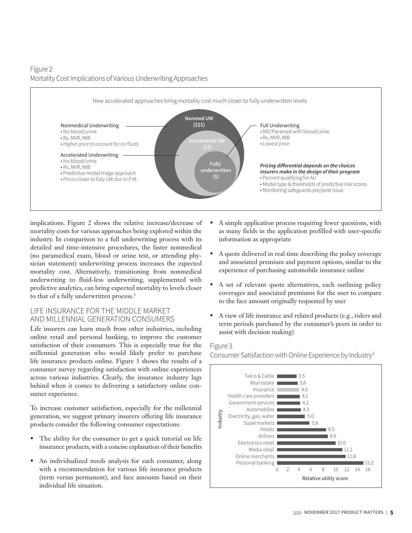## Figure 2 Mortality Cost Implications of Various Underwriting Approaches



implications. Figure 2 shows the relative increase/decrease of mortality costs for various approaches being explored within the industry. In comparison to a full underwriting process with its detailed and time-intensive procedures, the faster nonmedical (no paramedical exam, blood or urine test, or attending physician statement) underwriting process increases the expected mortality cost. Alternatively, transitioning from nonmedical underwriting to fluid-less underwriting, supplemented with predictive analytics, can bring expected mortality to levels closer to that of a fully underwritten process.<sup>5</sup>

## LIFE INSURANCE FOR THE MIDDLE MARKET AND MILLENNIAL GENERATION CONSUMERS

Life insurers can learn much from other industries, including online retail and personal banking, to improve the customer satisfaction of their consumers. This is especially true for the millennial generation who would likely prefer to purchase life insurance products online. Figure 3 shows the results of a consumer survey regarding satisfaction with online experiences across various industries. Clearly, the insurance industry lags behind when it comes to delivering a satisfactory online consumer experience.

To increase customer satisfaction, especially for the millennial generation, we suggest primary insurers offering life insurance products consider the following consumer expectations:

- The ability for the consumer to get a quick tutorial on life insurance products, with a concise explanation of their benefits
- An individualized needs analysis for each consumer, along with a recommendation for various life insurance products (term versus permanent), and face amounts based on their individual life situation.
- A simple application process requiring fewer questions, with as many fields in the application prefilled with user-specific information as appropriate
- A quote delivered in real time describing the policy coverage and associated premium and payment options, similar to the experience of purchasing automobile insurance online
- A set of relevant quote alternatives, each outlining policy coverages and associated premiums for the user to compare to the face amount originally requested by user
- A view of life insurance and related products (e.g., riders and term periods purchased by the consumer's peers in order to assist with decision making)

#### Figure 3

Consumer Satisfaction with Online Experience by Industry6

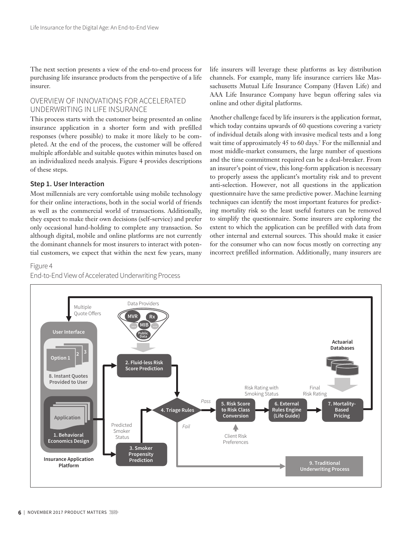The next section presents a view of the end-to-end process for purchasing life insurance products from the perspective of a life insurer.

## OVERVIEW OF INNOVATIONS FOR ACCELERATED UNDERWRITING IN LIFE INSURANCE

This process starts with the customer being presented an online insurance application in a shorter form and with prefilled responses (where possible) to make it more likely to be completed. At the end of the process, the customer will be offered multiple affordable and suitable quotes within minutes based on an individualized needs analysis. Figure 4 provides descriptions of these steps.

#### **Step 1. User Interaction**

Most millennials are very comfortable using mobile technology for their online interactions, both in the social world of friends as well as the commercial world of transactions. Additionally, they expect to make their own decisions (self-service) and prefer only occasional hand-holding to complete any transaction. So although digital, mobile and online platforms are not currently the dominant channels for most insurers to interact with potential customers, we expect that within the next few years, many

#### Figure 4



life insurers will leverage these platforms as key distribution channels. For example, many life insurance carriers like Massachusetts Mutual Life Insurance Company (Haven Life) and AAA Life Insurance Company have begun offering sales via online and other digital platforms.

Another challenge faced by life insurers is the application format, which today contains upwards of 60 questions covering a variety of individual details along with invasive medical tests and a long wait time of approximately 45 to 60 days.<sup>7</sup> For the millennial and most middle-market consumers, the large number of questions and the time commitment required can be a deal-breaker. From an insurer's point of view, this long-form application is necessary to properly assess the applicant's mortality risk and to prevent anti-selection. However, not all questions in the application questionnaire have the same predictive power. Machine learning techniques can identify the most important features for predicting mortality risk so the least useful features can be removed to simplify the questionnaire. Some insurers are exploring the extent to which the application can be prefilled with data from other internal and external sources. This should make it easier for the consumer who can now focus mostly on correcting any incorrect prefilled information. Additionally, many insurers are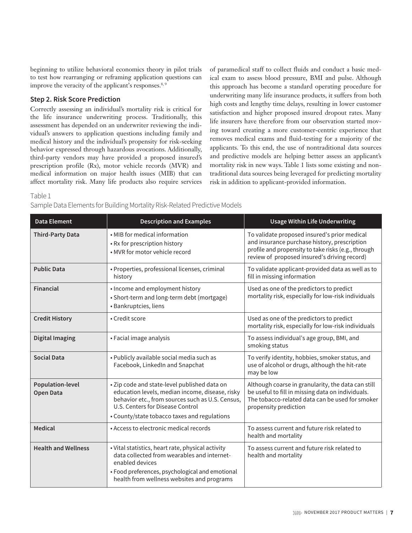beginning to utilize behavioral economics theory in pilot trials to test how rearranging or reframing application questions can improve the veracity of the applicant's responses.<sup>8, 9</sup>

#### **Step 2. Risk Score Prediction**

Correctly assessing an individual's mortality risk is critical for the life insurance underwriting process. Traditionally, this assessment has depended on an underwriter reviewing the individual's answers to application questions including family and medical history and the individual's propensity for risk-seeking behavior expressed through hazardous avocations. Additionally, third-party vendors may have provided a proposed insured's prescription profile (Rx), motor vehicle records (MVR) and medical information on major health issues (MIB) that can affect mortality risk. Many life products also require services

of paramedical staff to collect fluids and conduct a basic medical exam to assess blood pressure, BMI and pulse. Although this approach has become a standard operating procedure for underwriting many life insurance products, it suffers from both high costs and lengthy time delays, resulting in lower customer satisfaction and higher proposed insured dropout rates. Many life insurers have therefore from our observation started moving toward creating a more customer-centric experience that removes medical exams and fluid-testing for a majority of the applicants. To this end, the use of nontraditional data sources and predictive models are helping better assess an applicant's mortality risk in new ways. Table 1 lists some existing and nontraditional data sources being leveraged for predicting mortality risk in addition to applicant-provided information.

Table 1

#### Sample Data Elements for Building Mortality Risk-Related Predictive Models

| <b>Data Element</b>                         | <b>Description and Examples</b>                                                                                                                                                                                                         | <b>Usage Within Life Underwriting</b>                                                                                                                                                               |
|---------------------------------------------|-----------------------------------------------------------------------------------------------------------------------------------------------------------------------------------------------------------------------------------------|-----------------------------------------------------------------------------------------------------------------------------------------------------------------------------------------------------|
| <b>Third-Party Data</b>                     | • MIB for medical information<br>• Rx for prescription history<br>• MVR for motor vehicle record                                                                                                                                        | To validate proposed insured's prior medical<br>and insurance purchase history, prescription<br>profile and propensity to take risks (e.g., through<br>review of proposed insured's driving record) |
| <b>Public Data</b>                          | • Properties, professional licenses, criminal<br>history                                                                                                                                                                                | To validate applicant-provided data as well as to<br>fill in missing information                                                                                                                    |
| <b>Financial</b>                            | • Income and employment history<br>· Short-term and long-term debt (mortgage)<br>· Bankruptcies, liens                                                                                                                                  | Used as one of the predictors to predict<br>mortality risk, especially for low-risk individuals                                                                                                     |
| <b>Credit History</b>                       | • Credit score                                                                                                                                                                                                                          | Used as one of the predictors to predict<br>mortality risk, especially for low-risk individuals                                                                                                     |
| Digital Imaging                             | • Facial image analysis                                                                                                                                                                                                                 | To assess individual's age group, BMI, and<br>smoking status                                                                                                                                        |
| <b>Social Data</b>                          | • Publicly available social media such as<br>Facebook, LinkedIn and Snapchat                                                                                                                                                            | To verify identity, hobbies, smoker status, and<br>use of alcohol or drugs, although the hit-rate<br>may be low                                                                                     |
| <b>Population-level</b><br><b>Open Data</b> | • Zip code and state-level published data on<br>education levels, median income, disease, risky<br>behavior etc., from sources such as U.S. Census,<br>U.S. Centers for Disease Control<br>• County/state tobacco taxes and regulations | Although coarse in granularity, the data can still<br>be useful to fill in missing data on individuals.<br>The tobacco-related data can be used for smoker<br>propensity prediction                 |
| <b>Medical</b>                              | • Access to electronic medical records                                                                                                                                                                                                  | To assess current and future risk related to<br>health and mortality                                                                                                                                |
| <b>Health and Wellness</b>                  | · Vital statistics, heart rate, physical activity<br>data collected from wearables and internet-<br>enabled devices<br>• Food preferences, psychological and emotional<br>health from wellness websites and programs                    | To assess current and future risk related to<br>health and mortality                                                                                                                                |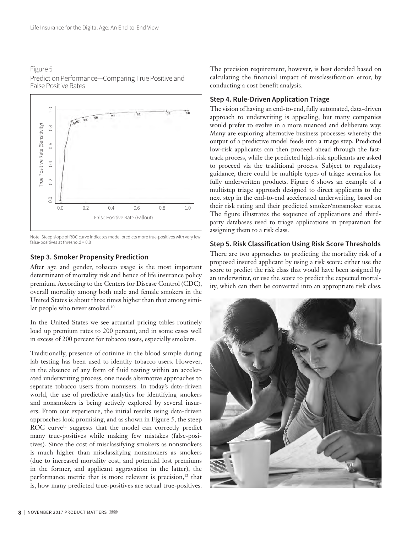



Note: Steep slope of ROC curve indicates model predicts more true-positives with very few false-positives at threshold = 0.8

## **Step 3. Smoker Propensity Prediction**

After age and gender, tobacco usage is the most important determinant of mortality risk and hence of life insurance policy premium. According to the Centers for Disease Control (CDC), overall mortality among both male and female smokers in the United States is about three times higher than that among similar people who never smoked.<sup>10</sup>

In the United States we see actuarial pricing tables routinely load up premium rates to 200 percent, and in some cases well in excess of 200 percent for tobacco users, especially smokers.

Traditionally, presence of cotinine in the blood sample during lab testing has been used to identify tobacco users. However, in the absence of any form of fluid testing within an accelerated underwriting process, one needs alternative approaches to separate tobacco users from nonusers. In today's data-driven world, the use of predictive analytics for identifying smokers and nonsmokers is being actively explored by several insurers. From our experience, the initial results using data-driven approaches look promising, and as shown in Figure 5, the steep ROC curve<sup>11</sup> suggests that the model can correctly predict many true-positives while making few mistakes (false-positives). Since the cost of misclassifying smokers as nonsmokers is much higher than misclassifying nonsmokers as smokers (due to increased mortality cost, and potential lost premiums in the former, and applicant aggravation in the latter), the performance metric that is more relevant is precision,<sup>12</sup> that is, how many predicted true-positives are actual true-positives.

The precision requirement, however, is best decided based on calculating the financial impact of misclassification error, by conducting a cost benefit analysis.

## **Step 4. Rule-Driven Application Triage**

The vision of having an end-to-end, fully automated, data-driven approach to underwriting is appealing, but many companies would prefer to evolve in a more nuanced and deliberate way. Many are exploring alternative business processes whereby the output of a predictive model feeds into a triage step. Predicted low-risk applicants can then proceed ahead through the fasttrack process, while the predicted high-risk applicants are asked to proceed via the traditional process. Subject to regulatory guidance, there could be multiple types of triage scenarios for fully underwritten products. Figure 6 shows an example of a multistep triage approach designed to direct applicants to the next step in the end-to-end accelerated underwriting, based on their risk rating and their predicted smoker/nonsmoker status. The figure illustrates the sequence of applications and thirdparty databases used to triage applications in preparation for assigning them to a risk class.

## **Step 5. Risk Classification Using Risk Score Thresholds**

There are two approaches to predicting the mortality risk of a proposed insured applicant by using a risk score: either use the score to predict the risk class that would have been assigned by an underwriter, or use the score to predict the expected mortality, which can then be converted into an appropriate risk class.

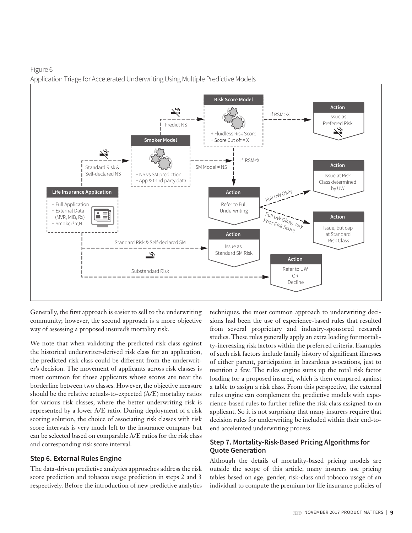Figure 6 Application Triage for Accelerated Underwriting Using Multiple Predictive Models



Generally, the first approach is easier to sell to the underwriting community; however, the second approach is a more objective way of assessing a proposed insured's mortality risk.

We note that when validating the predicted risk class against the historical underwriter-derived risk class for an application, the predicted risk class could be different from the underwriter's decision. The movement of applicants across risk classes is most common for those applicants whose scores are near the borderline between two classes. However, the objective measure should be the relative actuals-to-expected (A/E) mortality ratios for various risk classes, where the better underwriting risk is represented by a lower A/E ratio. During deployment of a risk scoring solution, the choice of associating risk classes with risk score intervals is very much left to the insurance company but can be selected based on comparable A/E ratios for the risk class and corresponding risk score interval.

## **Step 6. External Rules Engine**

The data-driven predictive analytics approaches address the risk score prediction and tobacco usage prediction in steps 2 and 3 respectively. Before the introduction of new predictive analytics techniques, the most common approach to underwriting decisions had been the use of experience-based rules that resulted from several proprietary and industry-sponsored research studies. These rules generally apply an extra loading for mortality-increasing risk factors within the preferred criteria. Examples of such risk factors include family history of significant illnesses of either parent, participation in hazardous avocations, just to mention a few. The rules engine sums up the total risk factor loading for a proposed insured, which is then compared against a table to assign a risk class. From this perspective, the external rules engine can complement the predictive models with experience-based rules to further refine the risk class assigned to an applicant. So it is not surprising that many insurers require that decision rules for underwriting be included within their end-toend accelerated underwriting process.

## **Step 7. Mortality-Risk-Based Pricing Algorithms for Quote Generation**

Although the details of mortality-based pricing models are outside the scope of this article, many insurers use pricing tables based on age, gender, risk-class and tobacco usage of an individual to compute the premium for life insurance policies of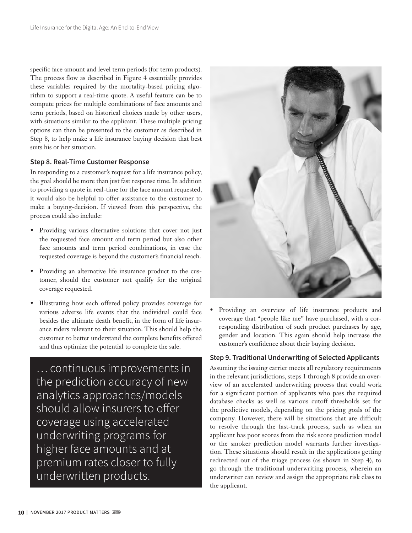specific face amount and level term periods (for term products). The process flow as described in Figure 4 essentially provides these variables required by the mortality-based pricing algorithm to support a real-time quote. A useful feature can be to compute prices for multiple combinations of face amounts and term periods, based on historical choices made by other users, with situations similar to the applicant. These multiple pricing options can then be presented to the customer as described in Step 8, to help make a life insurance buying decision that best suits his or her situation.

#### **Step 8. Real-Time Customer Response**

In responding to a customer's request for a life insurance policy, the goal should be more than just fast response time. In addition to providing a quote in real-time for the face amount requested, it would also be helpful to offer assistance to the customer to make a buying-decision. If viewed from this perspective, the process could also include:

- Providing various alternative solutions that cover not just the requested face amount and term period but also other face amounts and term period combinations, in case the requested coverage is beyond the customer's financial reach.
- Providing an alternative life insurance product to the customer, should the customer not qualify for the original coverage requested.
- Illustrating how each offered policy provides coverage for various adverse life events that the individual could face besides the ultimate death benefit, in the form of life insurance riders relevant to their situation. This should help the customer to better understand the complete benefits offered and thus optimize the potential to complete the sale.

… continuous improvements in the prediction accuracy of new analytics approaches/models should allow insurers to offer coverage using accelerated underwriting programs for higher face amounts and at premium rates closer to fully underwritten products.



• Providing an overview of life insurance products and coverage that "people like me" have purchased, with a corresponding distribution of such product purchases by age, gender and location. This again should help increase the customer's confidence about their buying decision.

## **Step 9. Traditional Underwriting of Selected Applicants**

Assuming the issuing carrier meets all regulatory requirements in the relevant jurisdictions, steps 1 through 8 provide an overview of an accelerated underwriting process that could work for a significant portion of applicants who pass the required database checks as well as various cutoff thresholds set for the predictive models, depending on the pricing goals of the company. However, there will be situations that are difficult to resolve through the fast-track process, such as when an applicant has poor scores from the risk score prediction model or the smoker prediction model warrants further investigation. These situations should result in the applications getting redirected out of the triage process (as shown in Step 4), to go through the traditional underwriting process, wherein an underwriter can review and assign the appropriate risk class to the applicant.